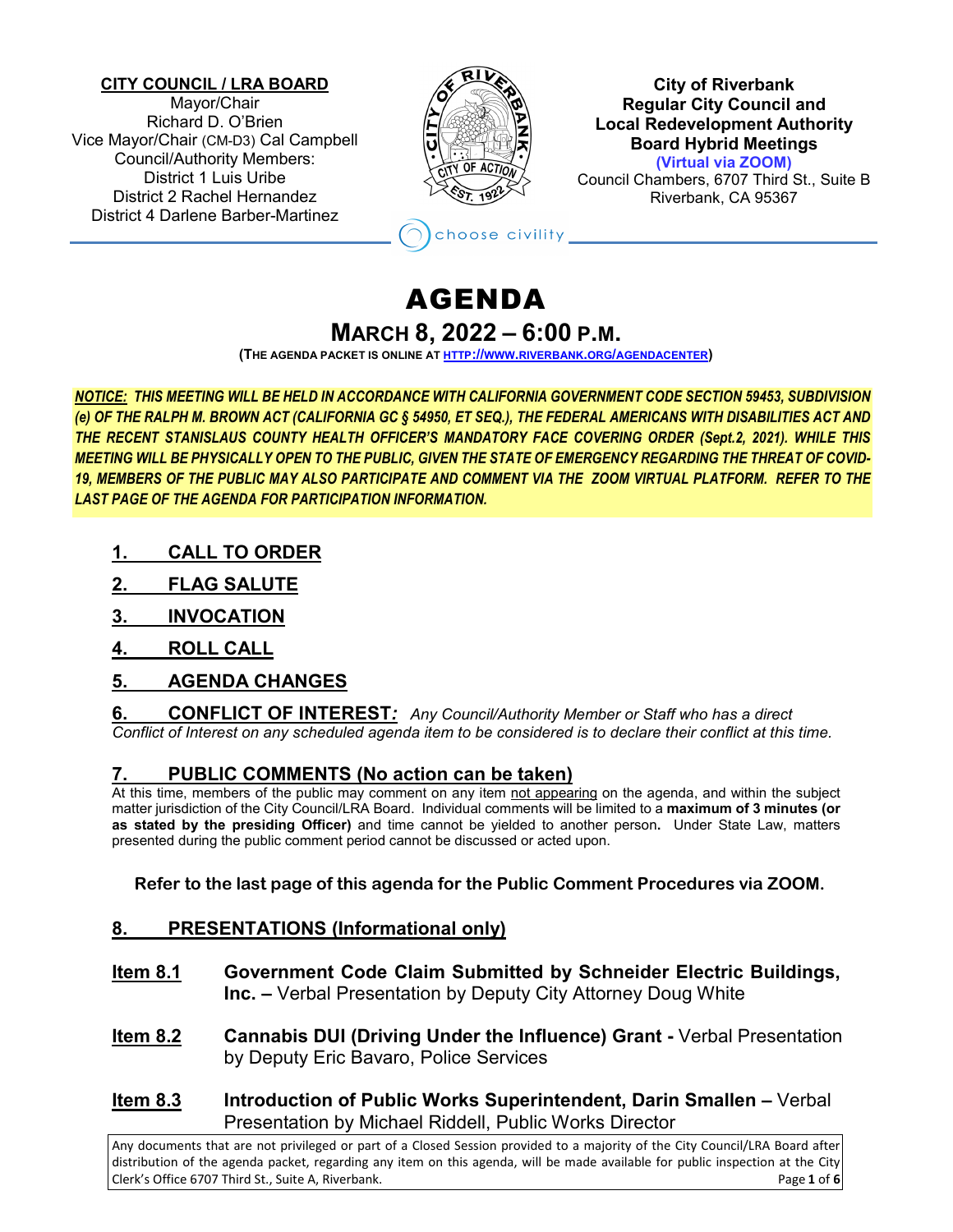## **CITY COUNCIL / LRA BOARD**

Mayor/Chair Richard D. O'Brien Vice Mayor/Chair (CM-D3) Cal Campbell Council/Authority Members: District 1 Luis Uribe District 2 Rachel Hernandez District 4 Darlene Barber-Martinez



**City of Riverbank Regular City Council and Local Redevelopment Authority Board Hybrid Meetings (Virtual via ZOOM)** Council Chambers, 6707 Third St., Suite B

Riverbank, CA 95367

# AGENDA

hoose civility

## **MARCH 8, 2022 – 6:00 P.M.**

**(THE AGENDA PACKET IS ONLINE A[T HTTP://WWW.RIVERBANK.ORG/AGENDACENTER\)](http://www.riverbank.org/agendacenter)**

*NOTICE: THIS MEETING WILL BE HELD IN ACCORDANCE WITH CALIFORNIA GOVERNMENT CODE SECTION 59453, SUBDIVISION (e) OF THE RALPH M. BROWN ACT (CALIFORNIA GC § 54950, ET SEQ.), THE FEDERAL AMERICANS WITH DISABILITIES ACT AND THE RECENT STANISLAUS COUNTY HEALTH OFFICER'S MANDATORY FACE COVERING ORDER (Sept.2, 2021). WHILE THIS MEETING WILL BE PHYSICALLY OPEN TO THE PUBLIC, GIVEN THE STATE OF EMERGENCY REGARDING THE THREAT OF COVID-19, MEMBERS OF THE PUBLIC MAY ALSO PARTICIPATE AND COMMENT VIA THE ZOOM VIRTUAL PLATFORM. REFER TO THE LAST PAGE OF THE AGENDA FOR PARTICIPATION INFORMATION.*

- **1. CALL TO ORDER**
- **2. FLAG SALUTE**
- **3. INVOCATION**
- **4. ROLL CALL**

# **5. AGENDA CHANGES**

**6. CONFLICT OF INTEREST***: Any Council/Authority Member or Staff who has a direct Conflict of Interest on any scheduled agenda item to be considered is to declare their conflict at this time.*

## **7. PUBLIC COMMENTS (No action can be taken)**

At this time, members of the public may comment on any item not appearing on the agenda, and within the subject matter jurisdiction of the City Council/LRA Board. Individual comments will be limited to a **maximum of 3 minutes (or as stated by the presiding Officer)** and time cannot be yielded to another person**.** Under State Law, matters presented during the public comment period cannot be discussed or acted upon.

## **Refer to the last page of this agenda for the Public Comment Procedures via ZOOM.**

## **8. PRESENTATIONS (Informational only)**

- **Item 8.1 Government Code Claim Submitted by Schneider Electric Buildings, Inc. –** Verbal Presentation by Deputy City Attorney Doug White
- **Item 8.2 Cannabis DUI (Driving Under the Influence) Grant -** Verbal Presentation by Deputy Eric Bavaro, Police Services
- **Item 8.3 Introduction of Public Works Superintendent, Darin Smallen –** Verbal Presentation by Michael Riddell, Public Works Director

Any documents that are not privileged or part of a Closed Session provided to a majority of the City Council/LRA Board after distribution of the agenda packet, regarding any item on this agenda, will be made available for public inspection at the City Clerk's Office 6707 Third St., Suite A, Riverbank. Page **1** of **6**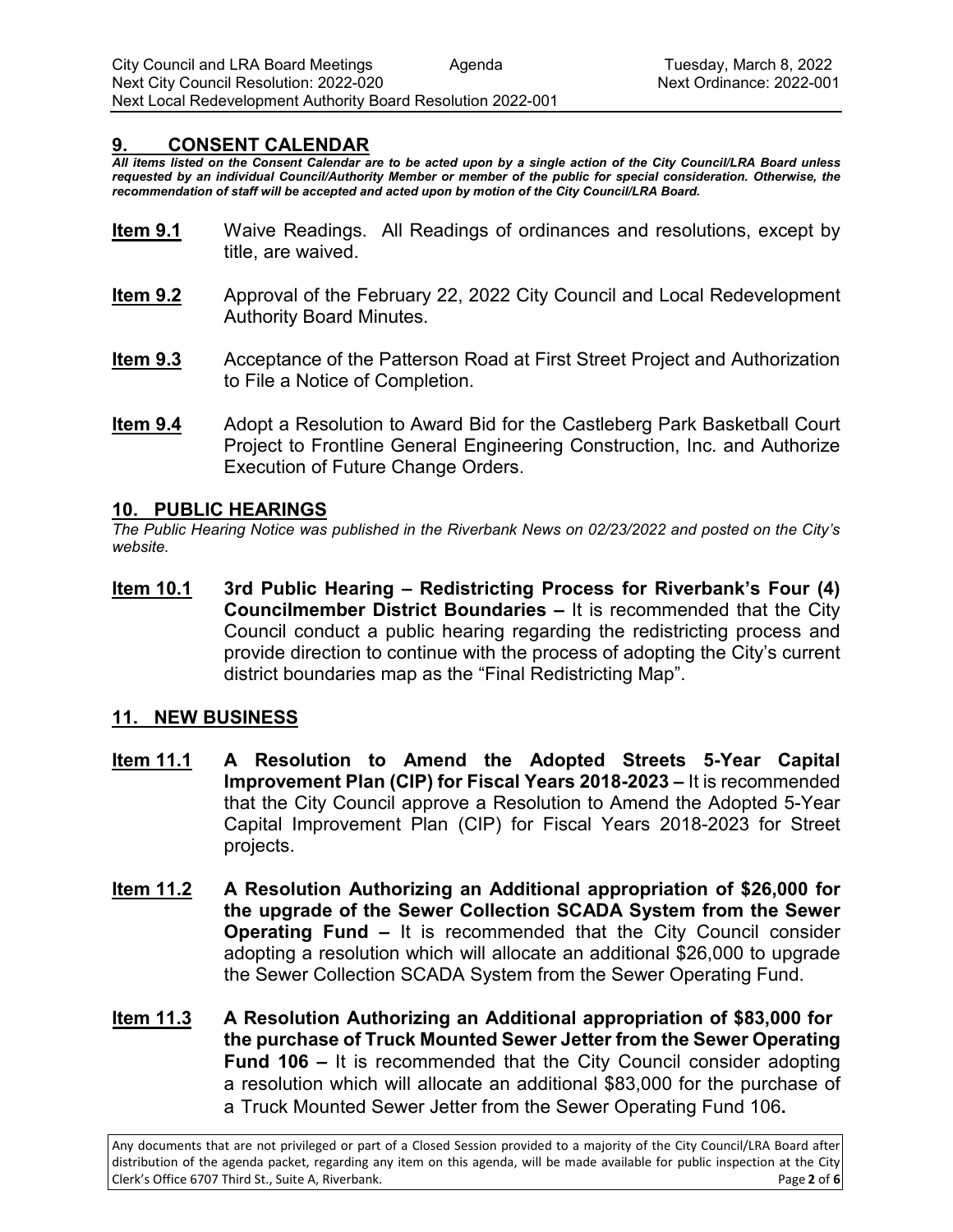## **9. CONSENT CALENDAR**

*All items listed on the Consent Calendar are to be acted upon by a single action of the City Council/LRA Board unless requested by an individual Council/Authority Member or member of the public for special consideration. Otherwise, the recommendation of staff will be accepted and acted upon by motion of the City Council/LRA Board.* 

- **Item 9.1** Waive Readings. All Readings of ordinances and resolutions, except by title, are waived.
- **Item 9.2** Approval of the February 22, 2022 City Council and Local Redevelopment Authority Board Minutes.
- **Item 9.3** Acceptance of the Patterson Road at First Street Project and Authorization to File a Notice of Completion.
- **Item 9.4** Adopt a Resolution to Award Bid for the Castleberg Park Basketball Court Project to Frontline General Engineering Construction, Inc. and Authorize Execution of Future Change Orders.

### **10. PUBLIC HEARINGS**

*The Public Hearing Notice was published in the Riverbank News on 02/23/2022 and posted on the City's website.* 

**Item 10.1 3rd Public Hearing – Redistricting Process for Riverbank's Four (4) Councilmember District Boundaries –** It is recommended that the City Council conduct a public hearing regarding the redistricting process and provide direction to continue with the process of adopting the City's current district boundaries map as the "Final Redistricting Map".

## **11. NEW BUSINESS**

- **Item 11.1 A Resolution to Amend the Adopted Streets 5-Year Capital Improvement Plan (CIP) for Fiscal Years 2018-2023 –** It is recommended that the City Council approve a Resolution to Amend the Adopted 5-Year Capital Improvement Plan (CIP) for Fiscal Years 2018-2023 for Street projects.
- **Item 11.2 A Resolution Authorizing an Additional appropriation of \$26,000 for the upgrade of the Sewer Collection SCADA System from the Sewer Operating Fund –** It is recommended that the City Council consider adopting a resolution which will allocate an additional \$26,000 to upgrade the Sewer Collection SCADA System from the Sewer Operating Fund.
- **Item 11.3 A Resolution Authorizing an Additional appropriation of \$83,000 for the purchase of Truck Mounted Sewer Jetter from the Sewer Operating Fund 106 –** It is recommended that the City Council consider adopting a resolution which will allocate an additional \$83,000 for the purchase of a Truck Mounted Sewer Jetter from the Sewer Operating Fund 106**.**

Any documents that are not privileged or part of a Closed Session provided to a majority of the City Council/LRA Board after distribution of the agenda packet, regarding any item on this agenda, will be made available for public inspection at the City Clerk's Office 6707 Third St., Suite A, Riverbank. Page **2** of **6**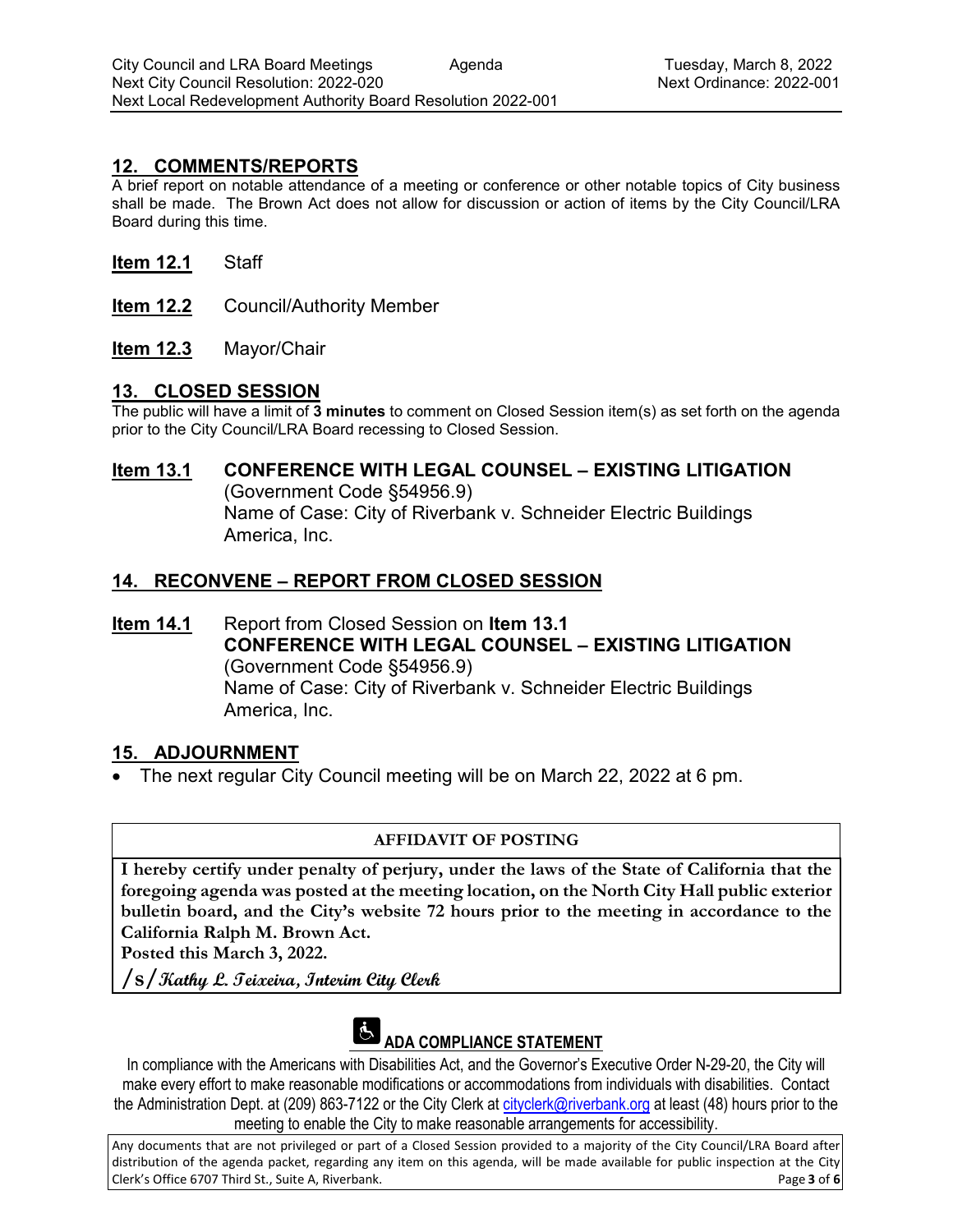## **12. COMMENTS/REPORTS**

A brief report on notable attendance of a meeting or conference or other notable topics of City business shall be made. The Brown Act does not allow for discussion or action of items by the City Council/LRA Board during this time.

- **Item 12.1** Staff
- **Item 12.2** Council/Authority Member
- **Item 12.3** Mayor/Chair

## **13. CLOSED SESSION**

The public will have a limit of **3 minutes** to comment on Closed Session item(s) as set forth on the agenda prior to the City Council/LRA Board recessing to Closed Session.

# **Item 13.1 CONFERENCE WITH LEGAL COUNSEL – EXISTING LITIGATION**

(Government Code §54956.9) Name of Case: City of Riverbank v. Schneider Electric Buildings America, Inc.

## **14. RECONVENE – REPORT FROM CLOSED SESSION**

**Item 14.1** Report from Closed Session on **Item 13.1 CONFERENCE WITH LEGAL COUNSEL – EXISTING LITIGATION** (Government Code §54956.9) Name of Case: City of Riverbank v. Schneider Electric Buildings America, Inc.

## **15. ADJOURNMENT**

• The next regular City Council meeting will be on March 22, 2022 at 6 pm.

## **AFFIDAVIT OF POSTING**

**I hereby certify under penalty of perjury, under the laws of the State of California that the foregoing agenda was posted at the meeting location, on the North City Hall public exterior bulletin board, and the City's website 72 hours prior to the meeting in accordance to the California Ralph M. Brown Act.** 

**Posted this March 3, 2022.**

**/s/Kathy L. Teixeira, Interim City Clerk**



# **ADA COMPLIANCE STATEMENT**

In compliance with the Americans with Disabilities Act, and the Governor's Executive Order N-29-20, the City will make every effort to make reasonable modifications or accommodations from individuals with disabilities. Contact the Administration Dept. at (209) 863-7122 or the City Clerk at [cityclerk@riverbank.org](mailto:cityclerk@riverbank.org) at least (48) hours prior to the meeting to enable the City to make reasonable arrangements for accessibility.

Any documents that are not privileged or part of a Closed Session provided to a majority of the City Council/LRA Board after distribution of the agenda packet, regarding any item on this agenda, will be made available for public inspection at the City Clerk's Office 6707 Third St., Suite A, Riverbank. Page **3** of **6**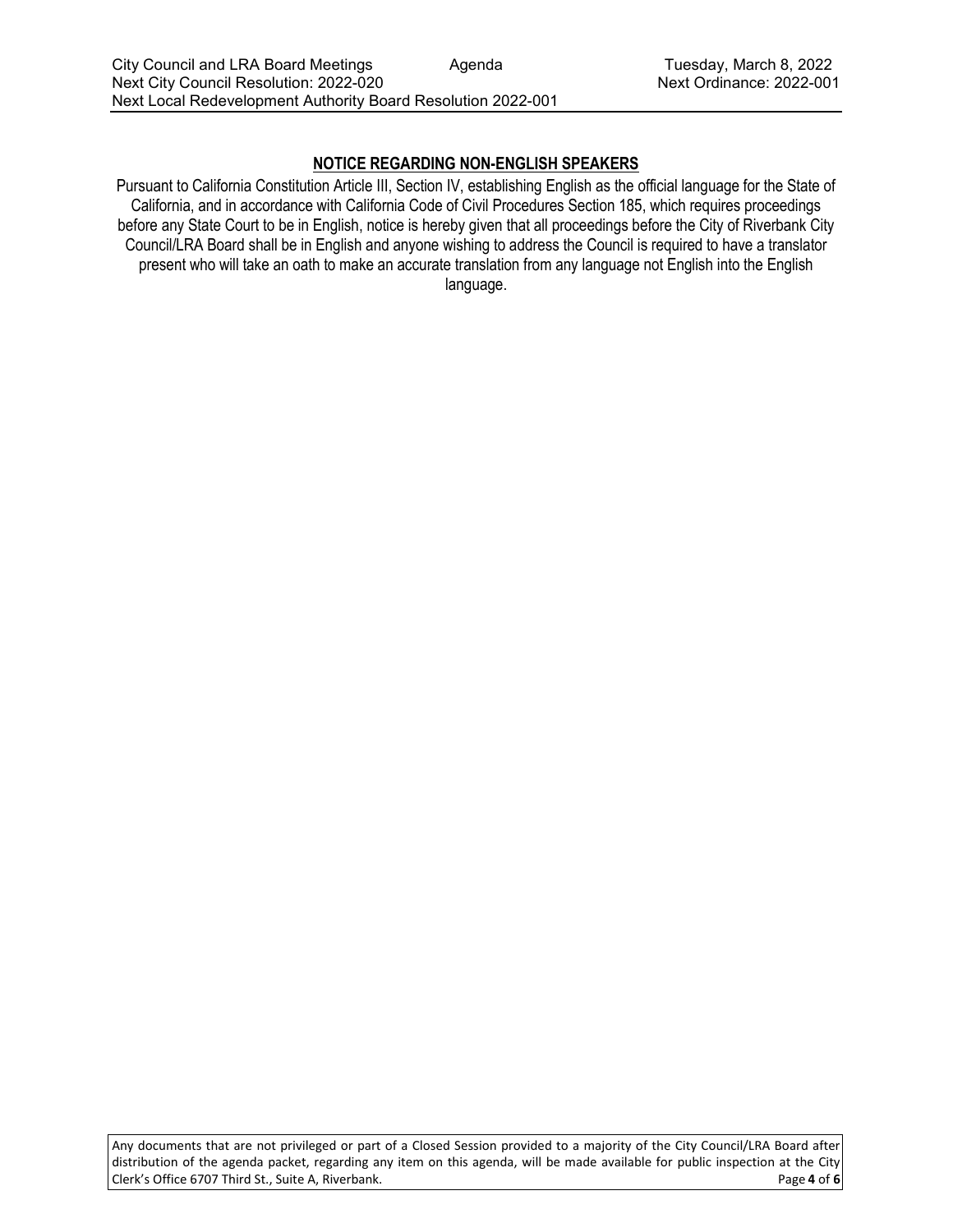## **NOTICE REGARDING NON-ENGLISH SPEAKERS**

Pursuant to California Constitution Article III, Section IV, establishing English as the official language for the State of California, and in accordance with California Code of Civil Procedures Section 185, which requires proceedings before any State Court to be in English, notice is hereby given that all proceedings before the City of Riverbank City Council/LRA Board shall be in English and anyone wishing to address the Council is required to have a translator present who will take an oath to make an accurate translation from any language not English into the English language.

Any documents that are not privileged or part of a Closed Session provided to a majority of the City Council/LRA Board after distribution of the agenda packet, regarding any item on this agenda, will be made available for public inspection at the City<br>Clerk's Office 6707 Third St., Suite A, Riverbank. Clerk's Office 6707 Third St., Suite A, Riverbank.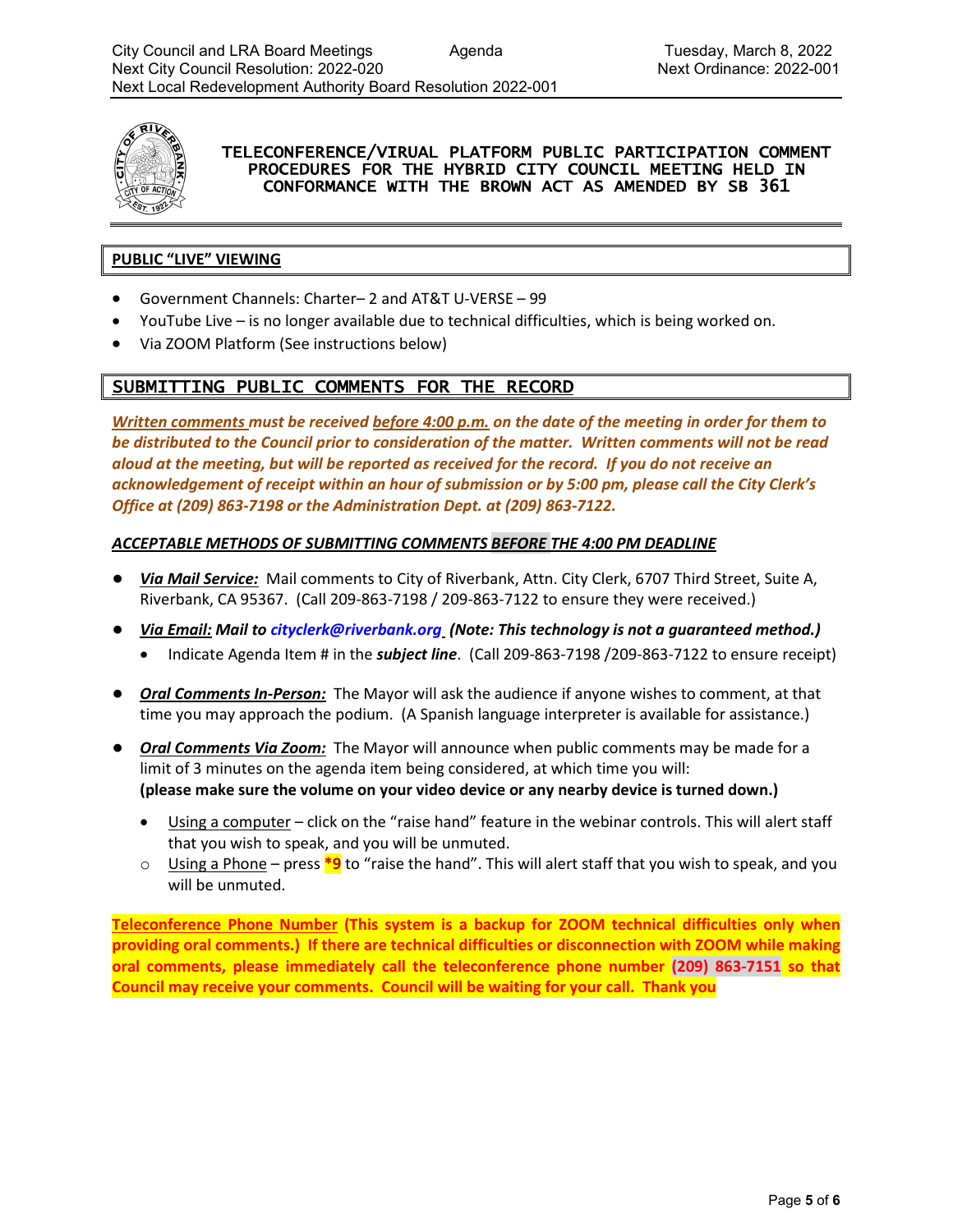

## TELECONFERENCE/VIRUAL PLATFORM PUBLIC PARTICIPATION COMMENT PROCEDURES FOR THE HYBRID CITY COUNCIL MEETING HELD IN CONFORMANCE WITH THE BROWN ACT AS AMENDED BY SB 361

#### **PUBLIC "LIVE" VIEWING**

- Government Channels: Charter– 2 and AT&T U-VERSE 99
- YouTube Live is no longer available due to technical difficulties, which is being worked on.
- Via ZOOM Platform (See instructions below)

## SUBMITTING PUBLIC COMMENTS FOR THE RECORD

*Written comments must be received before 4:00 p.m. on the date of the meeting in order for them to be distributed to the Council prior to consideration of the matter. Written comments will not be read aloud at the meeting, but will be reported as received for the record. If you do not receive an acknowledgement of receipt within an hour of submission or by 5:00 pm, please call the City Clerk's Office at (209) 863-7198 or the Administration Dept. at (209) 863-7122.*

#### *ACCEPTABLE METHODS OF SUBMITTING COMMENTS BEFORE THE 4:00 PM DEADLINE*

- *Via Mail Service:* Mail comments to City of Riverbank, Attn. City Clerk, 6707 Third Street, Suite A, Riverbank, CA 95367. (Call 209-863-7198 / 209-863-7122 to ensure they were received.)
- *Via Email: Mail to [cityclerk@riverbank.org](mailto:cityclerk@riverbank.org) (Note: This technology is not a guaranteed method.)* 
	- Indicate Agenda Item # in the *subject line*. (Call 209-863-7198 /209-863-7122 to ensure receipt)
- *Oral Comments In-Person:* The Mayor will ask the audience if anyone wishes to comment, at that time you may approach the podium. (A Spanish language interpreter is available for assistance.)
- *Oral Comments Via Zoom:* The Mayor will announce when public comments may be made for a limit of 3 minutes on the agenda item being considered, at which time you will: **(please make sure the volume on your video device or any nearby device is turned down.)**
	- Using a computer click on the "raise hand" feature in the webinar controls. This will alert staff that you wish to speak, and you will be unmuted.
	- o Using a Phone press **\*9** to "raise the hand". This will alert staff that you wish to speak, and you will be unmuted.

**Teleconference Phone Number (This system is a backup for ZOOM technical difficulties only when providing oral comments.) If there are technical difficulties or disconnection with ZOOM while making oral comments, please immediately call the teleconference phone number (209) 863-7151 so that Council may receive your comments. Council will be waiting for your call. Thank you**